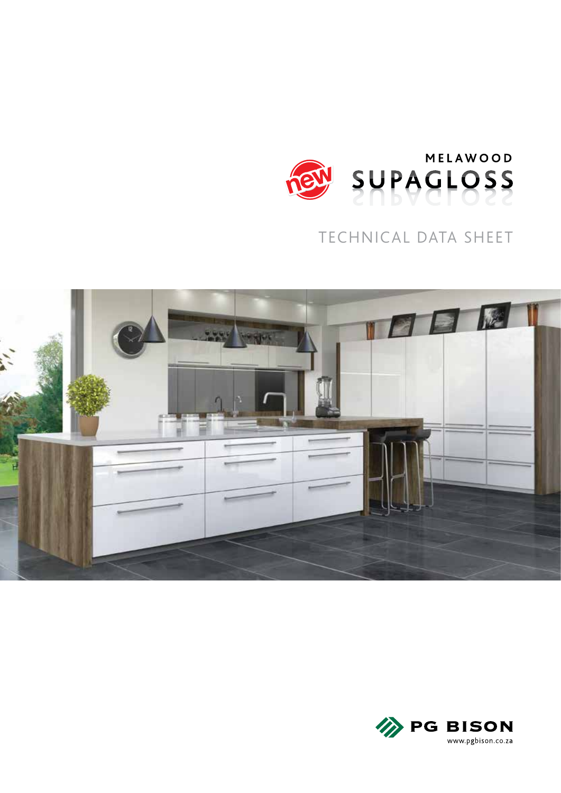

# TECHNICAL DATA SHEET



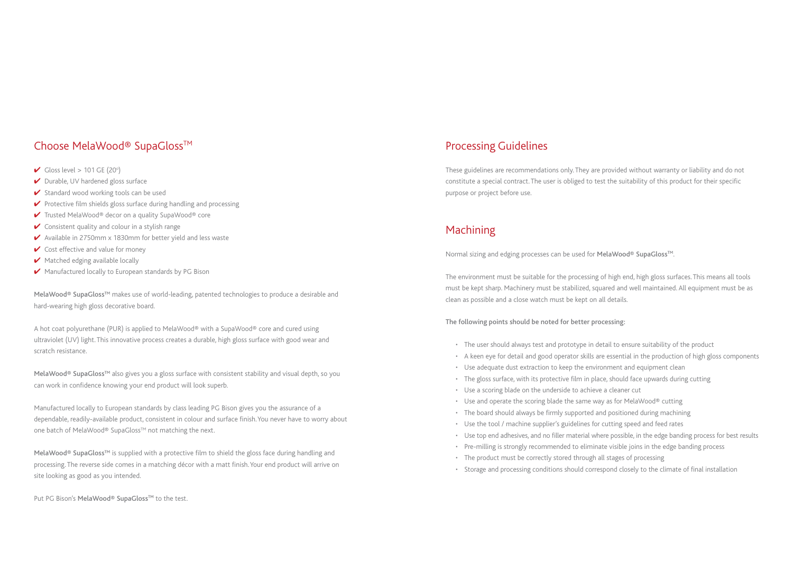## Choose MelaWood® SupaGloss™

- Gloss level  $> 101$  GE (20 $^{\circ}$ )
- ✔ Durable, UV hardened gloss surface
- ◆ Standard wood working tools can be used
- ✔ Protective film shields gloss surface during handling and processing
- ✔ Trusted MelaWood® decor on a quality SupaWood® core
- $\vee$  Consistent quality and colour in a stylish range
- ✔ Available in 2750mm x 1830mm for better yield and less waste
- $\vee$  Cost effective and value for money
- ✔ Matched edging available locally
- ◆ Manufactured locally to European standards by PG Bison

MelaWood® SupaGloss<sup>™</sup> makes use of world-leading, patented technologies to produce a desirable and hard-wearing high gloss decorative board.

MelaWood® SupaGloss<sup>™</sup> also gives you a gloss surface with consistent stability and visual depth, so you can work in confidence knowing your end product will look superb.

Manufactured locally to European standards by class leading PG Bison gives you the assurance of a dependable, readily-available product, consistent in colour and surface finish. You never have to worry about one batch of MelaWood® SupaGloss™ not matching the next.

A hot coat polyurethane (PUR) is applied to MelaWood® with a SupaWood® core and cured using ultraviolet (UV) light. This innovative process creates a durable, high gloss surface with good wear and scratch resistance.

MelaWood® SupaGloss<sup>™</sup> is supplied with a protective film to shield the gloss face during handling and processing. The reverse side comes in a matching décor with a matt finish. Your end product will arrive on site looking as good as you intended.

Put PG Bison's MelaWood® SupaGloss™ to the test.

# Processing Guidelines

These guidelines are recommendations only. They are provided without warranty or liability and do not constitute a special contract. The user is obliged to test the suitability of this product for their specific purpose or project before use.

## Machining

Normal sizing and edging processes can be used for MelaWood® SupaGloss<sup>™</sup>.

The environment must be suitable for the processing of high end, high gloss surfaces. This means all tools must be kept sharp. Machinery must be stabilized, squared and well maintained. All equipment must be as clean as possible and a close watch must be kept on all details.

The following points should be noted for better processing:

- The user should always test and prototype in detail to ensure suitability of the product
- A keen eye for detail and good operator skills are essential in the production of high gloss components
- Use adequate dust extraction to keep the environment and equipment clean
- The gloss surface, with its protective film in place, should face upwards during cutting
- Use a scoring blade on the underside to achieve a cleaner cut
- Use and operate the scoring blade the same way as for MelaWood® cutting
- The board should always be firmly supported and positioned during machining
- Use the tool / machine supplier's guidelines for cutting speed and feed rates
- Use top end adhesives, and no filler material where possible, in the edge banding process for best results
- Pre-milling is strongly recommended to eliminate visible joins in the edge banding process
- The product must be correctly stored through all stages of processing
- Storage and processing conditions should correspond closely to the climate of final installation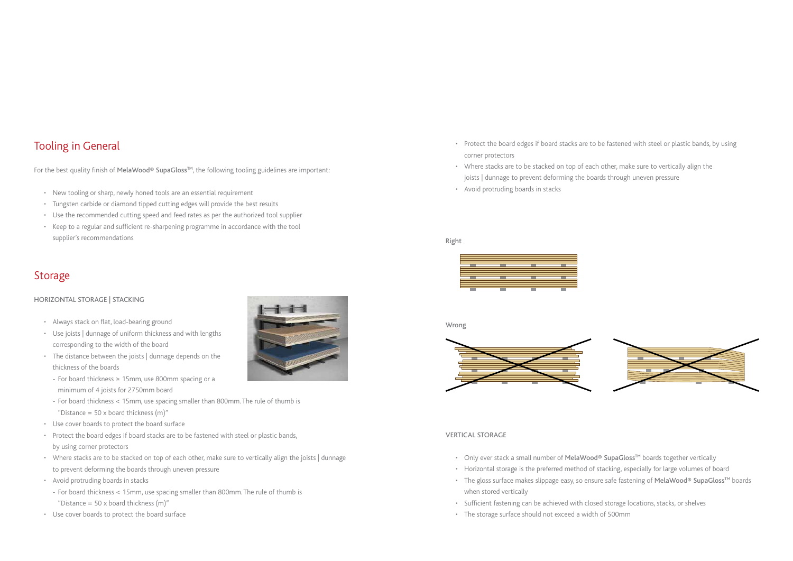# Tooling in General

For the best quality finish of MelaWood® SupaGloss™, the following tooling guidelines are important:

- New tooling or sharp, newly honed tools are an essential requirement
- Tungsten carbide or diamond tipped cutting edges will provide the best results
- Use the recommended cutting speed and feed rates as per the authorized tool supplier
- Keep to a regular and sufficient re-sharpening programme in accordance with the tool supplier's recommendations

## Storage

### HORIZONTAL STORAGE | STACKING

- Always stack on flat, load-bearing ground
- Use joists | dunnage of uniform thickness and with lengths corresponding to the width of the board
- The distance between the joists | dunnage depends on the thickness of the boards
	- For board thickness ≥ 15mm, use 800mm spacing or a minimum of 4 joists for 2750mm board
	- For board thickness < 15mm, use spacing smaller than 800mm. The rule of thumb is "Distance =  $50 \times$  board thickness (m)"
- Use cover boards to protect the board surface
- Protect the board edges if board stacks are to be fastened with steel or plastic bands, by using corner protectors
- Where stacks are to be stacked on top of each other, make sure to vertically align the joists | dunnage to prevent deforming the boards through uneven pressure
- Avoid protruding boards in stacks
	- For board thickness < 15mm, use spacing smaller than 800mm. The rule of thumb is "Distance =  $50 \times$  board thickness (m)"
- Use cover boards to protect the board surface



- Only ever stack a small number of MelaWood® SupaGloss<sup>™</sup> boards together vertically
- Horizontal storage is the preferred method of stacking, especially for large volumes of board
- when stored vertically
- Sufficient fastening can be achieved with closed storage locations, stacks, or shelves
- The storage surface should not exceed a width of 500mm



• The gloss surface makes slippage easy, so ensure safe fastening of MelaWood® SupaGloss<sup>™</sup> boards

Right



Wrong



- Protect the board edges if board stacks are to be fastened with steel or plastic bands, by using corner protectors
- Where stacks are to be stacked on top of each other, make sure to vertically align the joists | dunnage to prevent deforming the boards through uneven pressure
- Avoid protruding boards in stacks

#### VERTICAL STORAGE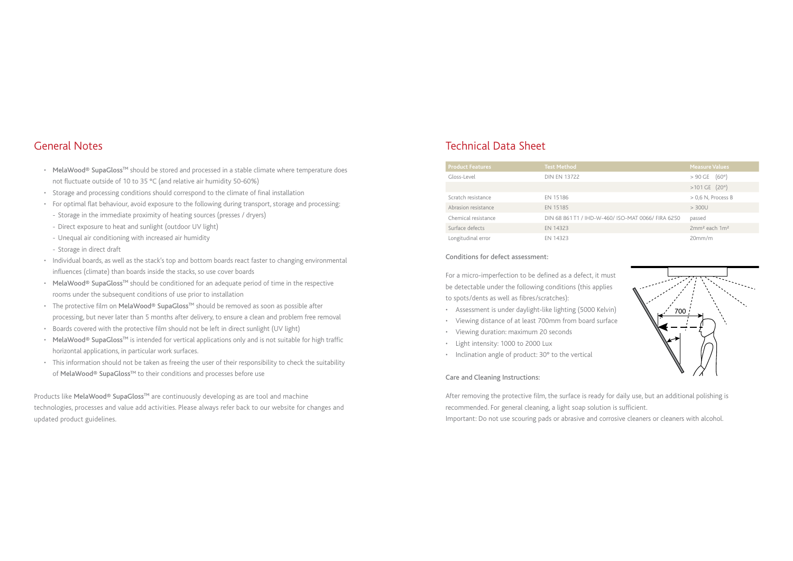### General Notes

- MelaWood® SupaGloss<sup>™</sup> should be stored and processed in a stable climate where temperature does not fluctuate outside of 10 to 35 °C (and relative air humidity 50-60%)
- Storage and processing conditions should correspond to the climate of final installation
- For optimal flat behaviour, avoid exposure to the following during transport, storage and processing:
- Storage in the immediate proximity of heating sources (presses / dryers)
- Direct exposure to heat and sunlight (outdoor UV light)
- Unequal air conditioning with increased air humidity
- Storage in direct draft
- Individual boards, as well as the stack's top and bottom boards react faster to changing environmental influences (climate) than boards inside the stacks, so use cover boards
- MelaWood® SupaGloss<sup>™</sup> should be conditioned for an adequate period of time in the respective rooms under the subsequent conditions of use prior to installation
- The protective film on MelaWood® SupaGloss<sup>™</sup> should be removed as soon as possible after processing, but never later than 5 months after delivery, to ensure a clean and problem free removal
- Boards covered with the protective film should not be left in direct sunlight (UV light)
- MelaWood® SupaGloss<sup>™</sup> is intended for vertical applications only and is not suitable for high traffic horizontal applications, in particular work surfaces.
- This information should not be taken as freeing the user of their responsibility to check the suitability of MelaWood® SupaGloss<sup>™</sup> to their conditions and processes before use

Products like MelaWood® SupaGloss<sup>™</sup> are continuously developing as are tool and machine technologies, processes and value add activities. Please always refer back to our website for changes and updated product guidelines.

#### Conditions for defect assessment:

For a micro-imperfection to be defined as a defect, it must be detectable under the following conditions (this applies to spots/dents as well as fibres/scratches):

- Assessment is under daylight-like lighting (5000 Kelvin)
- Viewing distance of at least 700mm from board surface
- Viewing duration: maximum 20 seconds
- Light intensity: 1000 to 2000 Lux
- Inclination angle of product: 30° to the vertical

#### Care and Cleaning Instructions:

After removing the protective film, the surface is ready for daily use, but an additional polishing is recommended. For general cleaning, a light soap solution is sufficient. Important: Do not use scouring pads or abrasive and corrosive cleaners or cleaners with alcohol.

## Technical Data Sheet

| <b>Product Features</b> | <b>Test Method</b>                                 | <b>Measure Values</b>                 |
|-------------------------|----------------------------------------------------|---------------------------------------|
| Gloss-Level             | <b>DIN EN 13722</b>                                | (60°)<br>$>90$ GE                     |
|                         |                                                    | $>101$ GE $(20^{\circ})$              |
| Scratch resistance      | EN 15186                                           | $> 0.6$ N, Process B                  |
| Abrasion resistance     | EN 15185                                           | > 300U                                |
| Chemical resistance     | DIN 68 861 T1 / IHD-W-460/ ISO-MAT 0066/ FIRA 6250 | passed                                |
| Surface defects         | EN 14323                                           | 2mm <sup>2</sup> each 1m <sup>2</sup> |
| Longitudinal error      | EN 14323                                           | 20mm/m                                |